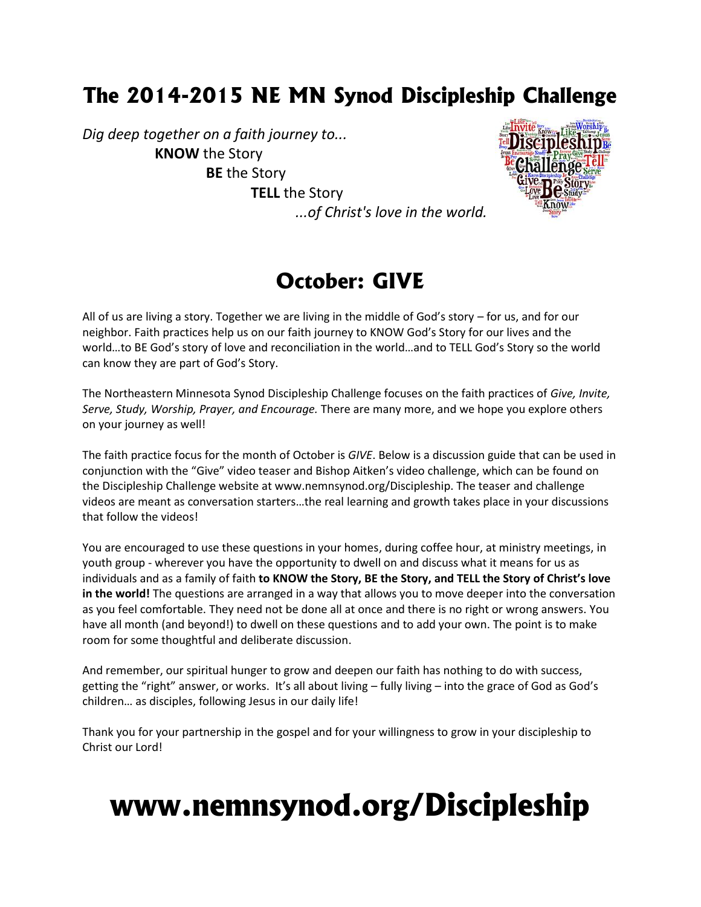## **The 2014-2015 NE MN Synod Discipleship Challenge**

*Dig deep together on a faith journey to...* **KNOW** the Story **BE** the Story **TELL** the Story



*...of Christ's love in the world.*

### **October: GIVE**

All of us are living a story. Together we are living in the middle of God's story – for us, and for our neighbor. Faith practices help us on our faith journey to KNOW God's Story for our lives and the world…to BE God's story of love and reconciliation in the world…and to TELL God's Story so the world can know they are part of God's Story.

The Northeastern Minnesota Synod Discipleship Challenge focuses on the faith practices of *Give, Invite, Serve, Study, Worship, Prayer, and Encourage.* There are many more, and we hope you explore others on your journey as well!

The faith practice focus for the month of October is *GIVE*. Below is a discussion guide that can be used in conjunction with the "Give" video teaser and Bishop Aitken's video challenge, which can be found on the Discipleship Challenge website at www.nemnsynod.org/Discipleship. The teaser and challenge videos are meant as conversation starters…the real learning and growth takes place in your discussions that follow the videos!

You are encouraged to use these questions in your homes, during coffee hour, at ministry meetings, in youth group - wherever you have the opportunity to dwell on and discuss what it means for us as individuals and as a family of faith **to KNOW the Story, BE the Story, and TELL the Story of Christ's love in the world!** The questions are arranged in a way that allows you to move deeper into the conversation as you feel comfortable. They need not be done all at once and there is no right or wrong answers. You have all month (and beyond!) to dwell on these questions and to add your own. The point is to make room for some thoughtful and deliberate discussion.

And remember, our spiritual hunger to grow and deepen our faith has nothing to do with success, getting the "right" answer, or works. It's all about living – fully living – into the grace of God as God's children… as disciples, following Jesus in our daily life!

Thank you for your partnership in the gospel and for your willingness to grow in your discipleship to Christ our Lord!

# **www.nemnsynod.org/Discipleship**